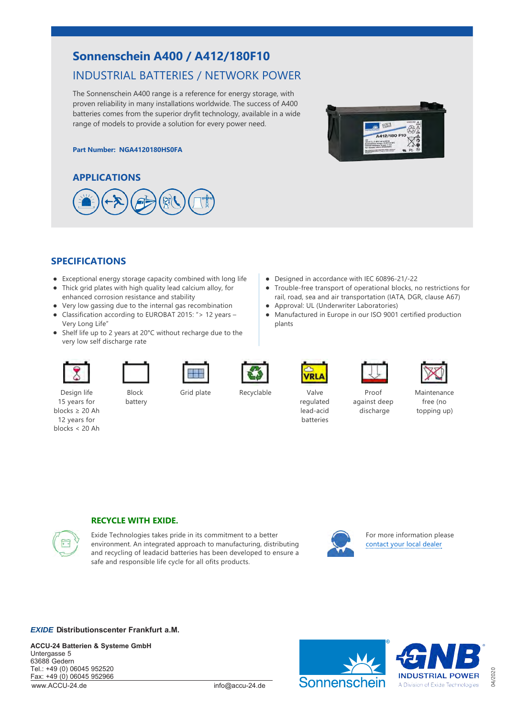# **Sonnenschein A400 / A412/180F10**

# INDUSTRIAL BATTERIES / NETWORK POWER

The Sonnenschein A400 range is a reference for energy storage, with proven reliability in many installations worldwide. The success of A400 batteries comes from the superior dryfit technology, available in a wide range of models to provide a solution for every power need.

#### **Part Number: NGA4120180HS0FA**





## **SPECIFICATIONS**

- Exceptional energy storage capacity combined with long life
- Thick grid plates with high quality lead calcium alloy, for enhanced corrosion resistance and stability
- Very low gassing due to the internal gas recombination
- Classification according to EUROBAT 2015: "> 12 years Very Long Life"
- Shelf life up to 2 years at 20°C without recharge due to the very low self discharge rate









● Designed in accordance with IEC 60896-21/-22

Approval: UL (Underwriter Laboratories)



Maintenance free (no topping up)

Design life 15 years for blocks ≥ 20 Ah 12 years for blocks < 20 Ah

Block battery







plants

 $\bullet$ 

 $\bullet$ 



Proof against deep discharge

Trouble‐free transport of operational blocks, no restrictions for rail, road, sea and air transportation (IATA, DGR, clause A67)

Manufactured in Europe in our ISO 9001 certified production





#### **RECYCLE WITH EXIDE.**

Exide Technologies takes pride in its commitment to a better environment. An integrated approach to manufacturing, distributing and recycling of leadacid batteries has been developed to ensure a safe and responsible life cycle for all ofits products.



For more information please [contact your local dealer](http://www.exide.com/eu/sites/default/files/2017-12/EXIDE_EMEA_contact%20list_2017_12_0.pdf)

#### *EXIDE* **Distributionscenter Frankfurt a . M .**

**ACCU-24 Batterien & Systeme GmbH** Untergasse 5 63688 Gedern Tel.: +49 (0) 06045 952520 Fax: +49 (0) 06045 952966